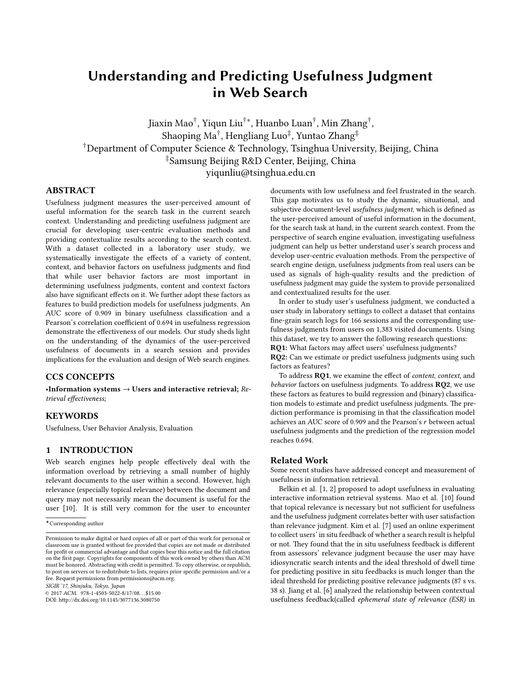# Understanding and Predicting Usefulness Judgment in Web Search

Jiaxin Mao<sup>†</sup>, Yiqun Liu<sup>†∗</sup>, Huanbo Luan<sup>†</sup>, Min Zhang<sup>†</sup>, Shaoping Ma $^\dagger$ , Hengliang Luo $^\ddagger$ , Yuntao Zhang $^\ddagger$ †Department of Computer Science & Technology, Tsinghua University, Beijing, China ‡Samsung Beijing R&D Center, Beijing, China yiqunliu@tsinghua.edu.cn

# ABSTRACT

Usefulness judgment measures the user-perceived amount of useful information for the search task in the current search context. Understanding and predicting usefulness judgment are crucial for developing user-centric evaluation methods and providing contextualize results according to the search context. With a dataset collected in a laboratory user study, we systematically investigate the effects of a variety of content, context, and behavior factors on usefulness judgments and find that while user behavior factors are most important in determining usefulness judgments, content and context factors also have significant effects on it. We further adopt these factors as features to build prediction models for usefulness judgments. An AUC score of 0.909 in binary usefulness classification and a Pearson's correlation coefficient of 0.694 in usefulness regression demonstrate the effectiveness of our models. Our study sheds light on the understanding of the dynamics of the user-perceived usefulness of documents in a search session and provides implications for the evaluation and design of Web search engines.

## CCS CONCEPTS

•Information systems  $\rightarrow$  Users and interactive retrieval; Retrieval effectiveness;

# **KEYWORDS**

Usefulness, User Behavior Analysis, Evaluation

# 1 INTRODUCTION

Web search engines help people effectively deal with the information overload by retrieving a small number of highly relevant documents to the user within a second. However, high relevance (especially topical relevance) between the document and query may not necessarily mean the document is useful for the user [\[10\]](#page-3-0). It is still very common for the user to encounter

SIGIR '17, Shinjuku, Tokyo, Japan

© 2017 ACM. 978-1-4503-5022-8/17/08. . . \$15.00 DOI: http://dx.doi.org/10.1145/3077136.3080750

documents with low usefulness and feel frustrated in the search. This gap motivates us to study the dynamic, situational, and subjective document-level usefulness judgment, which is defined as the user-perceived amount of useful information in the document, for the search task at hand, in the current search context. From the perspective of search engine evaluation, investigating usefulness judgment can help us better understand user's search process and develop user-centric evaluation methods. From the perspective of search engine design, usefulness judgments from real users can be used as signals of high-quality results and the prediction of usefulness judgment may guide the system to provide personalized and contextualized results for the user.

In order to study user's usefulness judgment, we conducted a user study in laboratory settings to collect a dataset that contains fine-grain search logs for 166 sessions and the corresponding usefulness judgments from users on 1,383 visited documents. Using this dataset, we try to answer the following research questions: RQ1: What factors may affect users' usefulness judgments?

RQ2: Can we estimate or predict usefulness judgments using such factors as features?

To address RO1, we examine the effect of content, context, and behavior factors on usefulness judgments. To address RQ2, we use these factors as features to build regression and (binary) classification models to estimate and predict usefulness judgments. The prediction performance is promising in that the classification model achieves an AUC score of 0.909 and the Pearson's r between actual usefulness judgments and the prediction of the regression model reaches 0.694.

#### Related Work

Some recent studies have addressed concept and measurement of usefulness in information retrieval.

Belkin et al. [\[1,](#page-3-1) [2\]](#page-3-2) proposed to adopt usefulness in evaluating interactive information retrieval systems. Mao et al. [\[10\]](#page-3-0) found that topical relevance is necessary but not sufficient for usefulness and the usefulness judgment correlates better with user satisfaction than relevance judgment. Kim et al. [\[7\]](#page-3-3) used an online experiment to collect users' in situ feedback of whether a search result is helpful or not. They found that the in situ usefulness feedback is different from assessors' relevance judgment because the user may have idiosyncratic search intents and the ideal threshold of dwell time for predicting positive in situ feedbacks is much longer than the ideal threshold for predicting positive relevance judgments (87 s vs. 38 s). Jiang et al. [\[6\]](#page-3-4) analyzed the relationship between contextual usefulness feedback(called ephemeral state of relevance (ESR) in

<sup>?</sup>Corresponding author

Permission to make digital or hard copies of all or part of this work for personal or classroom use is granted without fee provided that copies are not made or distributed for profit or commercial advantage and that copies bear this notice and the full citation on the first page. Copyrights for components of this work owned by others than  $\rm{ACM}$ must be honored. Abstracting with credit is permitted. To copy otherwise, or republish, to post on servers or to redistribute to lists, requires prior specific permission and/or a fee. Request permissions from permissions@acm.org.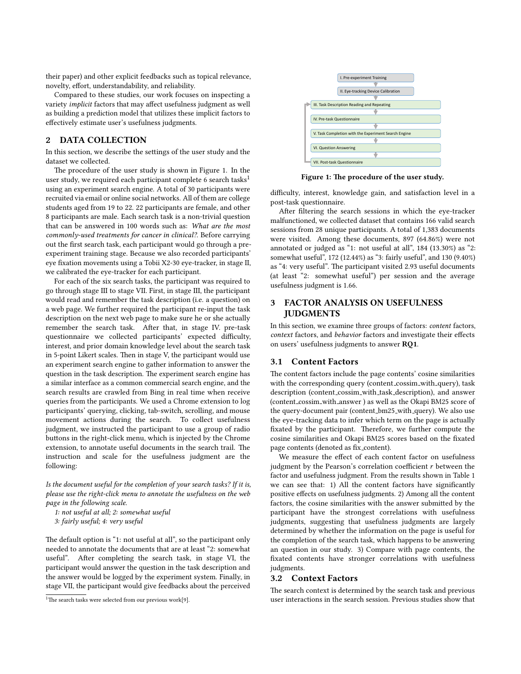their paper) and other explicit feedbacks such as topical relevance, novelty, effort, understandability, and reliability.

Compared to these studies, our work focuses on inspecting a variety implicit factors that may affect usefulness judgment as well as building a prediction model that utilizes these implicit factors to effectively estimate user's usefulness judgments.

# 2 DATA COLLECTION

In this section, we describe the settings of the user study and the dataset we collected.

The procedure of the user study is shown in Figure [1.](#page-1-0) In the user study, we required each participant complete 6 search tasks<sup>[1](#page-1-1)</sup> using an experiment search engine. A total of 30 participants were recruited via email or online social networks. All of them are college students aged from 19 to 22. 22 participants are female, and other 8 participants are male. Each search task is a non-trivial question that can be answered in 100 words such as: What are the most commonly-used treatments for cancer in clinical?. Before carrying out the first search task, each participant would go through a preexperiment training stage. Because we also recorded participants' eye fixation movements using a Tobii X2-30 eye-tracker, in stage II, we calibrated the eye-tracker for each participant.

For each of the six search tasks, the participant was required to go through stage III to stage VII. First, in stage III, the participant would read and remember the task description (i.e. a question) on a web page. We further required the participant re-input the task description on the next web page to make sure he or she actually remember the search task. After that, in stage IV. pre-task questionnaire we collected participants' expected difficulty, interest, and prior domain knowledge level about the search task in 5-point Likert scales. Then in stage V, the participant would use an experiment search engine to gather information to answer the question in the task description. The experiment search engine has a similar interface as a common commercial search engine, and the search results are crawled from Bing in real time when receive queries from the participants. We used a Chrome extension to log participants' querying, clicking, tab-switch, scrolling, and mouse movement actions during the search. To collect usefulness judgment, we instructed the participant to use a group of radio buttons in the right-click menu, which is injected by the Chrome extension, to annotate useful documents in the search trail. The instruction and scale for the usefulness judgment are the following:

Is the document useful for the completion of your search tasks? If it is, please use the right-click menu to annotate the usefulness on the web page in the following scale.

1: not useful at all; 2: somewhat useful

3: fairly useful; 4: very useful

The default option is "1: not useful at all", so the participant only needed to annotate the documents that are at least "2: somewhat useful". After completing the search task, in stage VI, the participant would answer the question in the task description and the answer would be logged by the experiment system. Finally, in stage VII, the participant would give feedbacks about the perceived

<span id="page-1-0"></span>

Figure 1: The procedure of the user study.

difficulty, interest, knowledge gain, and satisfaction level in a post-task questionnaire.

After filtering the search sessions in which the eye-tracker malfunctioned, we collected dataset that contains 166 valid search sessions from 28 unique participants. A total of 1,383 documents were visited. Among these documents, 897 (64.86%) were not annotated or judged as "1: not useful at all", 184 (13.30%) as "2: somewhat useful", 172 (12.44%) as "3: fairly useful", and 130 (9.40%) as "4: very useful". The participant visited 2.93 useful documents (at least "2: somewhat useful") per session and the average usefulness judgment is 1.66.

# 3 FACTOR ANALYSIS ON USEFULNESS **JUDGMENTS**

In this section, we examine three groups of factors: content factors, context factors, and behavior factors and investigate their effects on users' usefulness judgments to answer RQ1.

#### <span id="page-1-2"></span>3.1 Content Factors

The content factors include the page contents' cosine similarities with the corresponding query (content\_cossim\_with\_query), task description (content cossim with task description), and answer (content cossim with answer ) as well as the Okapi BM25 score of the query-document pair (content\_bm25\_with\_query). We also use the eye-tracking data to infer which term on the page is actually fixated by the participant. Therefore, we further compute the cosine similarities and Okapi BM25 scores based on the fixated page contents (denoted as fix\_content).

We measure the effect of each content factor on usefulness judgment by the Pearson's correlation coefficient  $r$  between the factor and usefulness judgment. From the results shown in Table [1](#page-2-0) we can see that: 1) All the content factors have significantly positive effects on usefulness judgments. 2) Among all the content factors, the cosine similarities with the answer submitted by the participant have the strongest correlations with usefulness judgments, suggesting that usefulness judgments are largely determined by whether the information on the page is useful for the completion of the search task, which happens to be answering an question in our study. 3) Compare with page contents, the fixated contents have stronger correlations with usefulness judgments.

## <span id="page-1-3"></span>3.2 Context Factors

The search context is determined by the search task and previous user interactions in the search session. Previous studies show that

<span id="page-1-1"></span><sup>&</sup>lt;sup>1</sup>The search tasks were selected from our previous work[\[9\]](#page-3-5).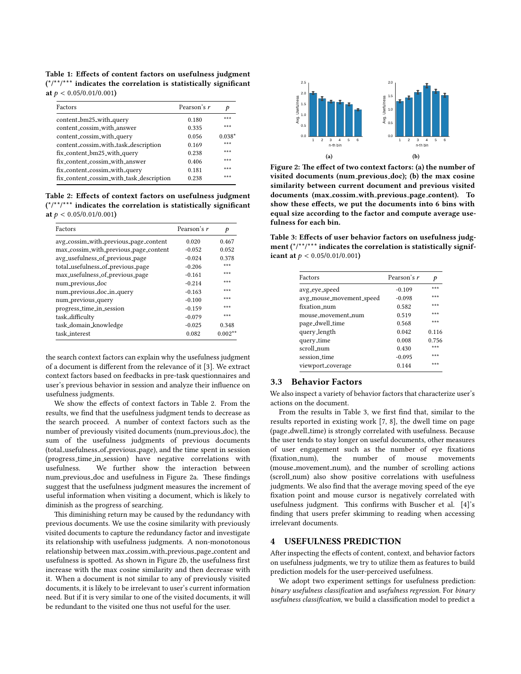<span id="page-2-0"></span>Table 1: Effects of content factors on usefulness judgment  $(*/**/***)$  indicates the correlation is statistically significant at  $p < 0.05/0.01/0.001$ )

| Factors                                  | Pearson's r | p        |
|------------------------------------------|-------------|----------|
| content_bm25_with_query                  | 0.180       | ***      |
| content cossim with answer               | 0.335       | ***      |
| content_cossim_with_query                | 0.056       | $0.038*$ |
| content_cossim_with_task_description     | 0.169       | ***      |
| fix_content_bm25_with_query              | 0.238       | ***      |
| fix_content_cossim_with_answer           | 0.406       | ***      |
| fix_content_cossim_with_query            | 0.181       | ***      |
| fix_content_cossim_with_task_description | 0.238       | ***      |

<span id="page-2-1"></span>Table 2: Effects of context factors on usefulness judgment  $(*$ <sup>\*</sup> $*$ <sup>\*\*</sup>/\*\*\* indicates the correlation is statistically significant at  $p < 0.05/0.01/0.001$ )

| Factors                               | Pearson's r | p         |
|---------------------------------------|-------------|-----------|
| avg_cossim_with_previous_page_content | 0.020       | 0.467     |
| max_cossim_with_previous_page_content | $-0.052$    | 0.052     |
| avg_usefulness_of_previous_page       | $-0.024$    | 0.378     |
| total_usefulness_of_previous_page     | $-0.206$    | ***       |
| max_usefulness_of_previous_page       | $-0.161$    | ***       |
| num_previous_doc                      | $-0.214$    | ***       |
| num_previous_doc_in_query             | $-0.163$    | ***       |
| num_previous_query                    | $-0.100$    | ***       |
| progress_time_in_session              | $-0.159$    | ***       |
| task_difficulty                       | $-0.079$    | ***       |
| task_domain_knowledge                 | $-0.025$    | 0.348     |
| task_interest                         | 0.082       | $0.002**$ |

the search context factors can explain why the usefulness judgment of a document is different from the relevance of it [\[3\]](#page-3-6). We extract context factors based on feedbacks in pre-task questionnaires and user's previous behavior in session and analyze their influence on usefulness judgments.

We show the effects of context factors in Table [2.](#page-2-1) From the results, we find that the usefulness judgment tends to decrease as the search proceed. A number of context factors such as the number of previously visited documents (num previous doc), the sum of the usefulness judgments of previous documents (total usefulness of previous page), and the time spent in session (progress time in session) have negative correlations with We further show the interaction between num previous doc and usefulness in Figure [2a.](#page-2-2) These findings suggest that the usefulness judgment measures the increment of useful information when visiting a document, which is likely to diminish as the progress of searching.

This diminishing return may be caused by the redundancy with previous documents. We use the cosine similarity with previously visited documents to capture the redundancy factor and investigate its relationship with usefulness judgments. A non-monotonous relationship between max cossim with previous page content and usefulness is spotted. As shown in Figure [2b,](#page-2-3) the usefulness first increase with the max cosine similarity and then decrease with it. When a document is not similar to any of previously visited documents, it is likely to be irrelevant to user's current information need. But if it is very similar to one of the visited documents, it will be redundant to the visited one thus not useful for the user.

<span id="page-2-2"></span>

<span id="page-2-3"></span>Figure 2: The effect of two context factors: (a) the number of visited documents (num previous doc); (b) the max cosine similarity between current document and previous visited documents (max cossim with previous page content). To show these effects, we put the documents into 6 bins with equal size according to the factor and compute average usefulness for each bin.

<span id="page-2-4"></span>Table 3: Effects of user behavior factors on usefulness judgment  $(*/**/***$  indicates the correlation is statistically significant at  $p < 0.05/0.01/0.001$ )

| Factors                  | Pearson's r | p     |
|--------------------------|-------------|-------|
| avg_eye_speed            | $-0.109$    | ***   |
| avg_mouse_movement_speed | $-0.098$    | ***   |
| fixation_num             | 0.582       | ***   |
| mouse movement num       | 0.519       | ***   |
| page_dwell_time          | 0.568       | ***   |
| query_length             | 0.042       | 0.116 |
| query_time               | 0.008       | 0.756 |
| scroll num               | 0.430       | ***   |
| session_time             | $-0.095$    | ***   |
| viewport_coverage        | 0.144       | ***   |

# 3.3 Behavior Factors

We also inspect a variety of behavior factors that characterize user's actions on the document.

From the results in Table [3,](#page-2-4) we first find that, similar to the results reported in existing work [\[7,](#page-3-3) [8\]](#page-3-7), the dwell time on page (page dwell time) is strongly correlated with usefulness. Because the user tends to stay longer on useful documents, other measures of user engagement such as the number of eye fixations (fixation\_num), the number of mouse movements (mouse movement num), and the number of scrolling actions (scroll num) also show positive correlations with usefulness judgments. We also find that the average moving speed of the eye fixation point and mouse cursor is negatively correlated with usefulness judgment. This confirms with Buscher et al. [\[4\]](#page-3-8)'s finding that users prefer skimming to reading when accessing irrelevant documents.

### USEFULNESS PREDICTION

After inspecting the effects of content, context, and behavior factors on usefulness judgments, we try to utilize them as features to build prediction models for the user-perceived usefulness.

We adopt two experiment settings for usefulness prediction: binary usefulness classification and usefulness regression. For binary usefulness classification, we build a classification model to predict a